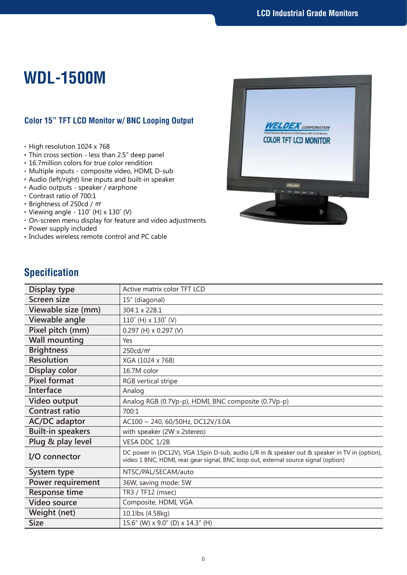## **WDL-1500M**

## **Color 15" TFT LCD Monitor w/ BNC Looping Output**

- High resolution 1024 x 768
- Thin cross section less than 2.5" deep panel
- 16.7million colors for true color rendition
- Multiple inputs composite video, HDMI, D-sub
- Audio (left/right) line inputs and built-in speaker
- Audio outputs speaker / earphone
- Contrast ratio of 700:1
- Brightness of 250cd / ㎡
- Viewing angle  $110^\circ$  (H) x  $130^\circ$  (V)
- On-screen menu display for feature and video adjustments
- Power supply included
- Includes wireless remote control and PC cable



## **Specification**

| Display type             | Active matrix color TFT LCD                                                                                                                                                         |
|--------------------------|-------------------------------------------------------------------------------------------------------------------------------------------------------------------------------------|
| Screen size              | 15" (diagonal)                                                                                                                                                                      |
| Viewable size (mm)       | 304.1 x 228.1                                                                                                                                                                       |
| Viewable angle           | $110^{\circ}$ (H) x $130^{\circ}$ (V)                                                                                                                                               |
| Pixel pitch (mm)         | $0.297$ (H) x 0.297 (V)                                                                                                                                                             |
| <b>Wall mounting</b>     | Yes                                                                                                                                                                                 |
| <b>Brightness</b>        | 250cd/m <sup>2</sup>                                                                                                                                                                |
| <b>Resolution</b>        | XGA (1024 x 768)                                                                                                                                                                    |
| Display color            | 16.7M color                                                                                                                                                                         |
| <b>Pixel format</b>      | RGB vertical stripe                                                                                                                                                                 |
| Interface                | Analog                                                                                                                                                                              |
| Video output             | Analog RGB (0.7Vp-p), HDMI, BNC composite (0.7Vp-p)                                                                                                                                 |
| Contrast ratio           | 700:1                                                                                                                                                                               |
| <b>AC/DC</b> adaptor     | AC100 ~ 240, 60/50Hz, DC12V/3.0A                                                                                                                                                    |
| <b>Built-in speakers</b> | with speaker (2W x 2stereo)                                                                                                                                                         |
| Plug & play level        | VESA DDC 1/2B                                                                                                                                                                       |
| I/O connector            | DC power in (DC12V), VGA 15pin D-sub, audio L/R in & speaker out & speaker in TV in (option),<br>video 1 BNC, HDMI, rear gear signal, BNC loop out, external source signal (option) |
| System type              | NTSC/PAL/SECAM/auto                                                                                                                                                                 |
| Power requirement        | 36W, saving mode: 5W                                                                                                                                                                |
| <b>Response time</b>     | TR3 / TF12 (msec)                                                                                                                                                                   |
| <b>Video source</b>      | Composite, HDMI, VGA                                                                                                                                                                |
| Weight (net)             | 10.1lbs (4.58kg)                                                                                                                                                                    |
| <b>Size</b>              | 15.6" (W) x 9.0" (D) x 14.3" (H)                                                                                                                                                    |